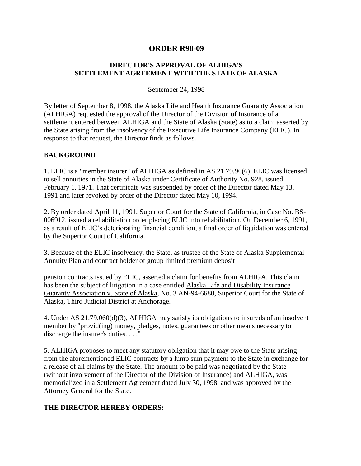## **ORDER R98-09**

## **DIRECTOR'S APPROVAL OF ALHIGA'S SETTLEMENT AGREEMENT WITH THE STATE OF ALASKA**

September 24, 1998

By letter of September 8, 1998, the Alaska Life and Health Insurance Guaranty Association (ALHIGA) requested the approval of the Director of the Division of Insurance of a settlement entered between ALHIGA and the State of Alaska (State) as to a claim asserted by the State arising from the insolvency of the Executive Life Insurance Company (ELIC). In response to that request, the Director finds as follows.

## **BACKGROUND**

1. ELIC is a "member insurer" of ALHIGA as defined in AS 21.79.90(6). ELIC was licensed to sell annuities in the State of Alaska under Certificate of Authority No. 928, issued February 1, 1971. That certificate was suspended by order of the Director dated May 13, 1991 and later revoked by order of the Director dated May 10, 1994.

2. By order dated April 11, 1991, Superior Court for the State of California, in Case No. BS-006912, issued a rehabilitation order placing ELIC into rehabilitation. On December 6, 1991, as a result of ELIC's deteriorating financial condition, a final order of liquidation was entered by the Superior Court of California.

3. Because of the ELIC insolvency, the State, as trustee of the State of Alaska Supplemental Annuity Plan and contract holder of group limited premium deposit

pension contracts issued by ELIC, asserted a claim for benefits from ALHIGA. This claim has been the subject of litigation in a case entitled Alaska Life and Disability Insurance Guaranty Association v. State of Alaska, No. 3 AN-94-6680, Superior Court for the State of Alaska, Third Judicial District at Anchorage.

4. Under AS 21.79.060(d)(3), ALHIGA may satisfy its obligations to insureds of an insolvent member by "provid(ing) money, pledges, notes, guarantees or other means necessary to discharge the insurer's duties. . . ."

5. ALHIGA proposes to meet any statutory obligation that it may owe to the State arising from the aforementioned ELIC contracts by a lump sum payment to the State in exchange for a release of all claims by the State. The amount to be paid was negotiated by the State (without involvement of the Director of the Division of Insurance) and ALHIGA, was memorialized in a Settlement Agreement dated July 30, 1998, and was approved by the Attorney General for the State.

## **THE DIRECTOR HEREBY ORDERS:**